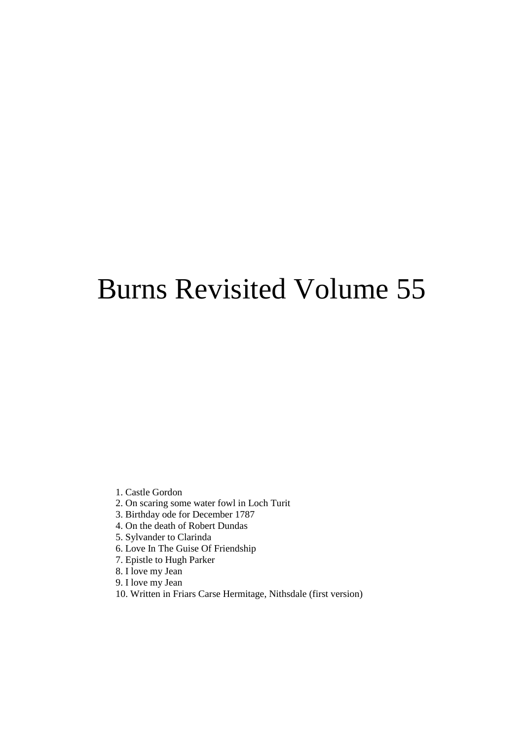# Burns Revisited Volume 55

- 1. Castle Gordon
- 2. On scaring some water fowl in Loch Turit
- 3. Birthday ode for December 1787
- 4. On the death of Robert Dundas
- 5. Sylvander to Clarinda
- 6. Love In The Guise Of Friendship
- 7. Epistle to Hugh Parker
- 8. I love my Jean
- 9. I love my Jean
- 10. Written in Friars Carse Hermitage, Nithsdale (first version)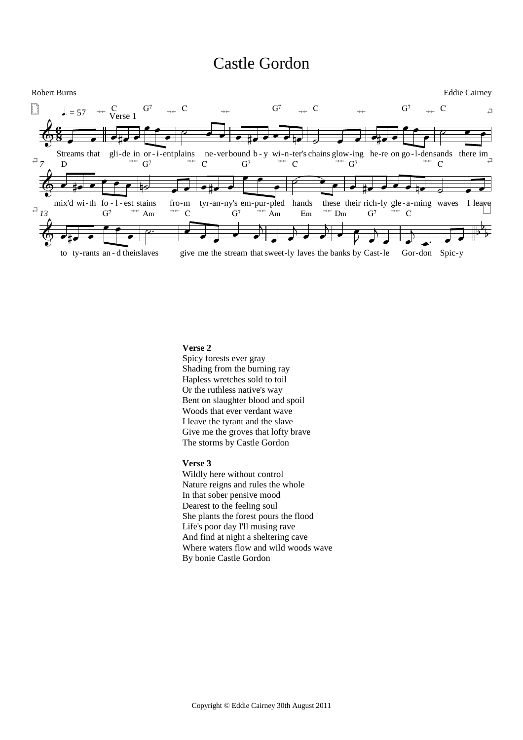### Castle Gordon



#### **Verse 2**

Spicy forests ever gray Shading from the burning ray Hapless wretches sold to toil Or the ruthless native's way Bent on slaughter blood and spoil Woods that ever verdant wave I leave the tyrant and the slave Give me the groves that lofty brave The storms by Castle Gordon

#### **Verse 3**

Wildly here without control Nature reigns and rules the whole In that sober pensive mood Dearest to the feeling soul She plants the forest pours the flood Life's poor day I'll musing rave And find at night a sheltering cave Where waters flow and wild woods wave By bonie Castle Gordon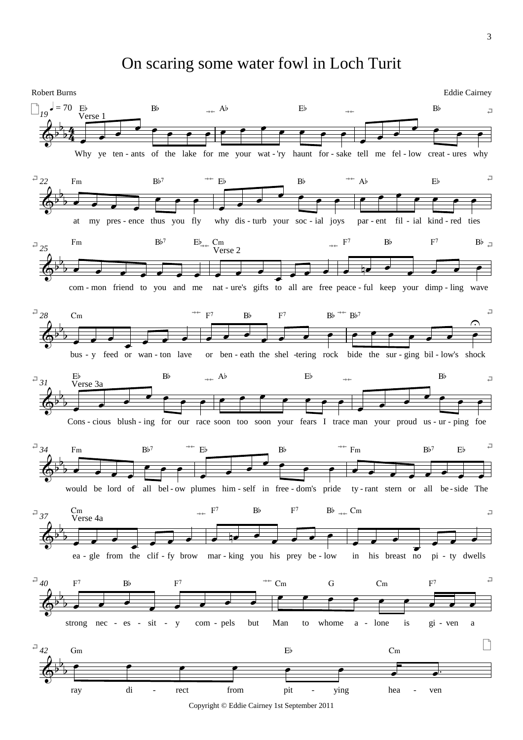On scaring some water fowl in Loch Turit

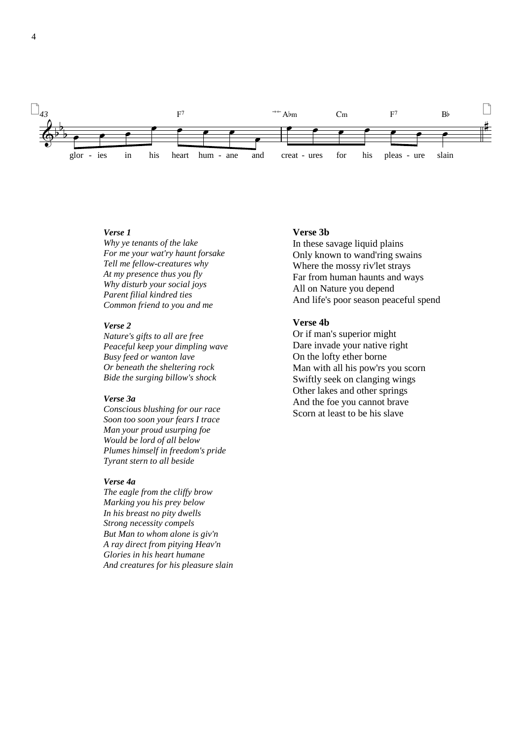

### Verse 1

Why ye tenants of the lake For me your wat'ry haunt forsake Tell me fellow-creatures why At my presence thus you fly Why disturb your social joys Parent filial kindred ties Common friend to you and me

### Verse 2

Nature's gifts to all are free Peaceful keep your dimpling wave Busy feed or wanton lave Or beneath the sheltering rock Bide the surging billow's shock

### Verse 3a

Conscious blushing for our race Soon too soon your fears I trace Man your proud usurping foe Would be lord of all below Plumes himself in freedom's pride Tyrant stern to all beside

#### Verse 4a

The eagle from the cliffy brow Marking you his prey below In his breast no pity dwells Strong necessity compels But Man to whom alone is giv'n A ray direct from pitying Heav'n Glories in his heart humane And creatures for his pleasure slain

#### Verse 3b

In these savage liquid plains Only known to wand'ring swains Where the mossy riv'let strays Far from human haunts and ways All on Nature you depend And life's poor season peaceful spend

### Verse 4b

Or if man's superior might Dare invade your native right On the lofty ether borne Man with all his pow'rs you scorn Swiftly seek on clanging wings Other lakes and other springs And the foe you cannot brave Scorn at least to be his slave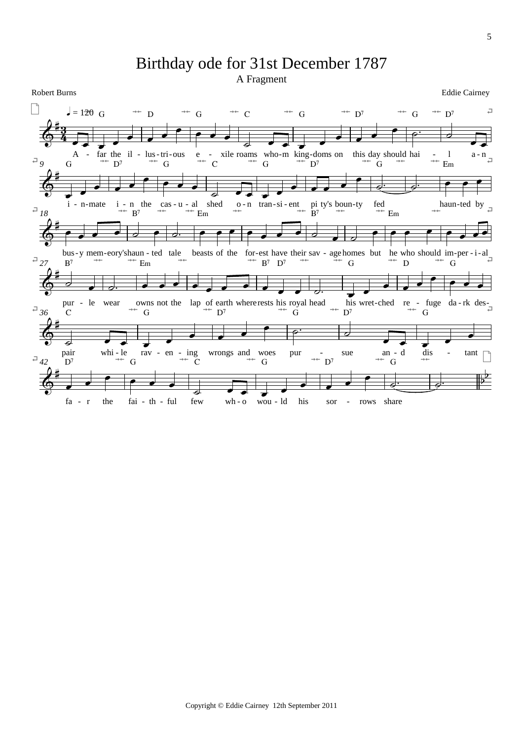## Birthday ode for 31st December 1787

A Fragment

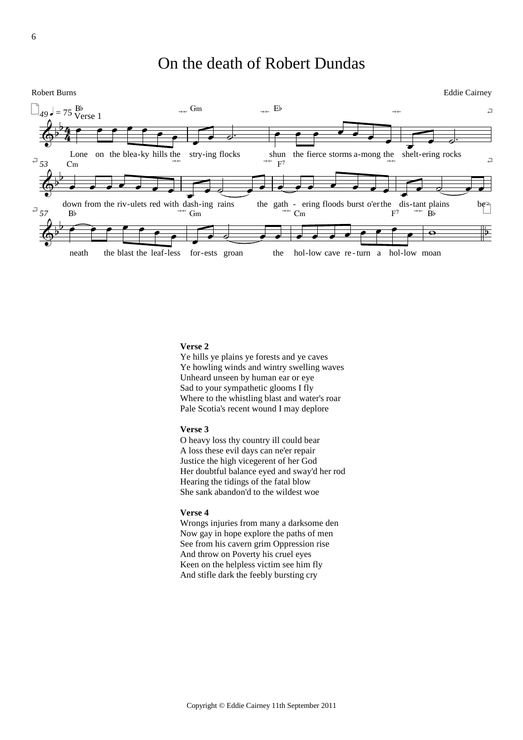### On the death of Robert Dundas

Robert Burns Eddie Cairney



### **Verse 2**

Ye hills ye plains ye forests and ye caves Ye howling winds and wintry swelling waves Unheard unseen by human ear or eye Sad to your sympathetic glooms I fly Where to the whistling blast and water's roar Pale Scotia's recent wound I may deplore

### **Verse 3**

O heavy loss thy country ill could bear A loss these evil days can ne'er repair Justice the high vicegerent of her God Her doubtful balance eyed and sway'd her rod Hearing the tidings of the fatal blow She sank abandon'd to the wildest woe

### **Verse 4**

Wrongs injuries from many a darksome den Now gay in hope explore the paths of men See from his cavern grim Oppression rise And throw on Poverty his cruel eyes Keen on the helpless victim see him fly And stifle dark the feebly bursting cry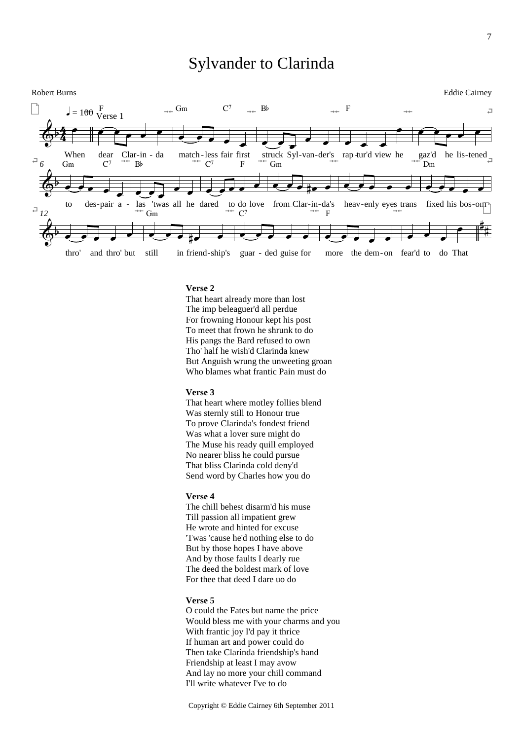### Sylvander to Clarinda



#### **Verse 2**

That heart already more than lost The imp beleaguer'd all perdue For frowning Honour kept his post To meet that frown he shrunk to do His pangs the Bard refused to own Tho' half he wish'd Clarinda knew But Anguish wrung the unweeting groan Who blames what frantic Pain must do

### **Verse 3**

That heart where motley follies blend Was sternly still to Honour true To prove Clarinda's fondest friend Was what a lover sure might do The Muse his ready quill employed No nearer bliss he could pursue That bliss Clarinda cold deny'd Send word by Charles how you do

### **Verse 4**

The chill behest disarm'd his muse Till passion all impatient grew He wrote and hinted for excuse 'Twas 'cause he'd nothing else to do But by those hopes I have above And by those faults I dearly rue The deed the boldest mark of love For thee that deed I dare uo do

### **Verse 5**

O could the Fates but name the price Would bless me with your charms and you With frantic joy I'd pay it thrice If human art and power could do Then take Clarinda friendship's hand Friendship at least I may avow And lay no more your chill command I'll write whatever I've to do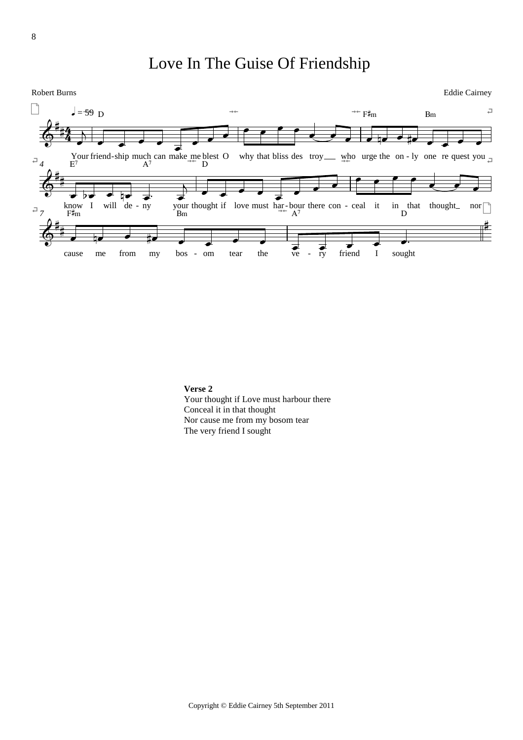### Love In The Guise Of Friendship

Robert Burns Eddie Cairney



**Verse 2** Your thought if Love must harbour there Conceal it in that thought Nor cause me from my bosom tear The very friend I sought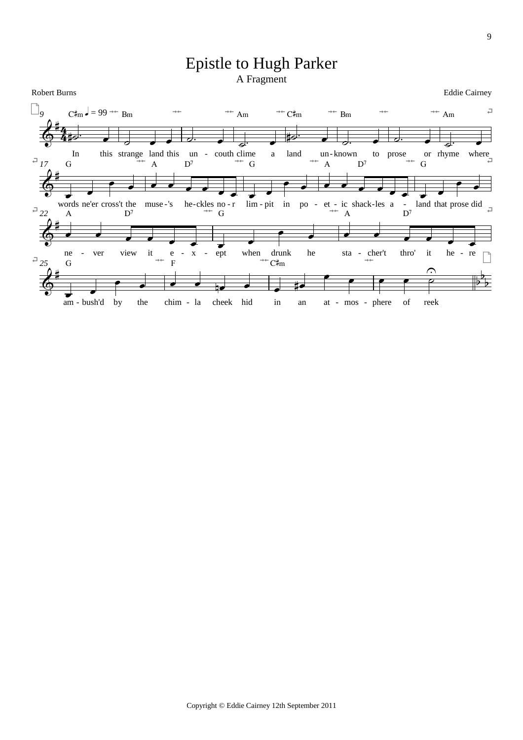### **Epistle to Hugh Parker** A Fragment

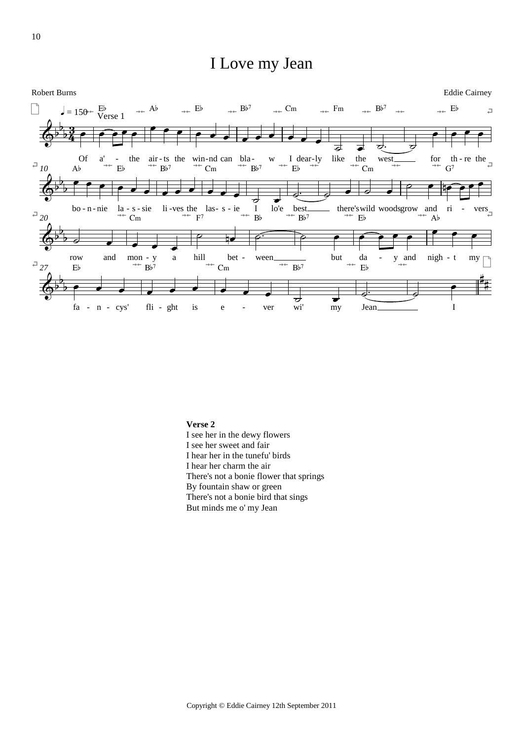### I Love my Jean



Verse 2 I see her in the dewy flowers I see her sweet and fair I hear her in the tunefu' birds I hear her charm the air There's not a bonie flower that springs By fountain shaw or green There's not a bonie bird that sings But minds me o' my Jean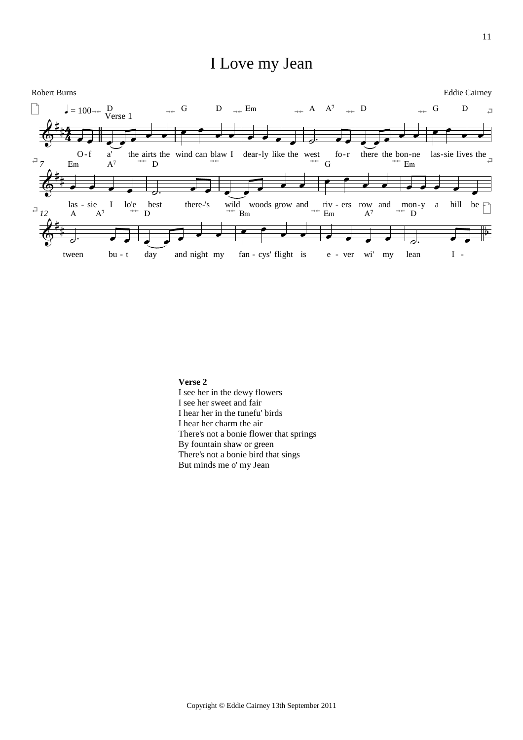### I Love my Jean



Verse 2

I see her in the dewy flowers I see her sweet and fair I hear her in the tunefu' birds I hear her charm the air There's not a bonie flower that springs By fountain shaw or green There's not a bonie bird that sings But minds me o' my Jean